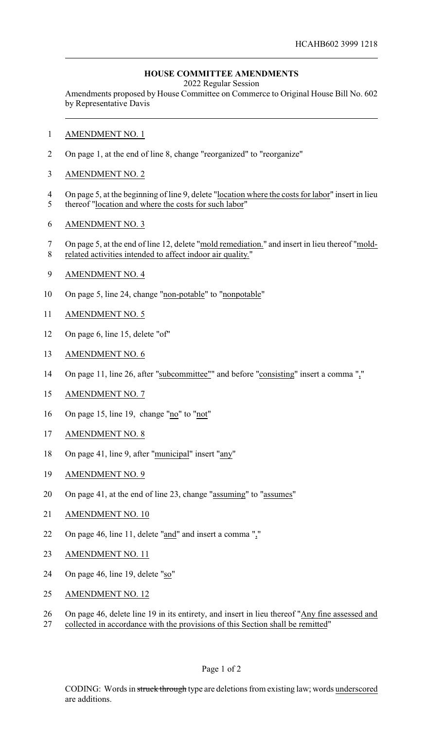## **HOUSE COMMITTEE AMENDMENTS**

2022 Regular Session

Amendments proposed by House Committee on Commerce to Original House Bill No. 602 by Representative Davis

- 1 AMENDMENT NO. 1
- 2 On page 1, at the end of line 8, change "reorganized" to "reorganize"
- 3 AMENDMENT NO. 2
- 4 On page 5, at the beginning of line 9, delete "location where the costs for labor" insert in lieu
- 5 thereof "location and where the costs for such labor"
- 6 AMENDMENT NO. 3
- 7 On page 5, at the end of line 12, delete "mold remediation." and insert in lieu thereof "mold-8 related activities intended to affect indoor air quality."
- 9 AMENDMENT NO. 4
- 10 On page 5, line 24, change "non-potable" to "nonpotable"
- 11 AMENDMENT NO. 5
- 12 On page 6, line 15, delete "of"
- 13 AMENDMENT NO. 6
- 14 On page 11, line 26, after "subcommittee"" and before "consisting" insert a comma ","
- 15 AMENDMENT NO. 7
- 16 On page 15, line 19, change "no" to "not"
- 17 AMENDMENT NO. 8
- 18 On page 41, line 9, after "municipal" insert "any"
- 19 AMENDMENT NO. 9
- 20 On page 41, at the end of line 23, change "assuming" to "assumes"
- 21 AMENDMENT NO. 10
- 22 On page 46, line 11, delete "and" and insert a comma ","
- 23 AMENDMENT NO. 11
- 24 On page 46, line 19, delete "so"
- 25 AMENDMENT NO. 12
- 26 On page 46, delete line 19 in its entirety, and insert in lieu thereof "Any fine assessed and
- 27 collected in accordance with the provisions of this Section shall be remitted"